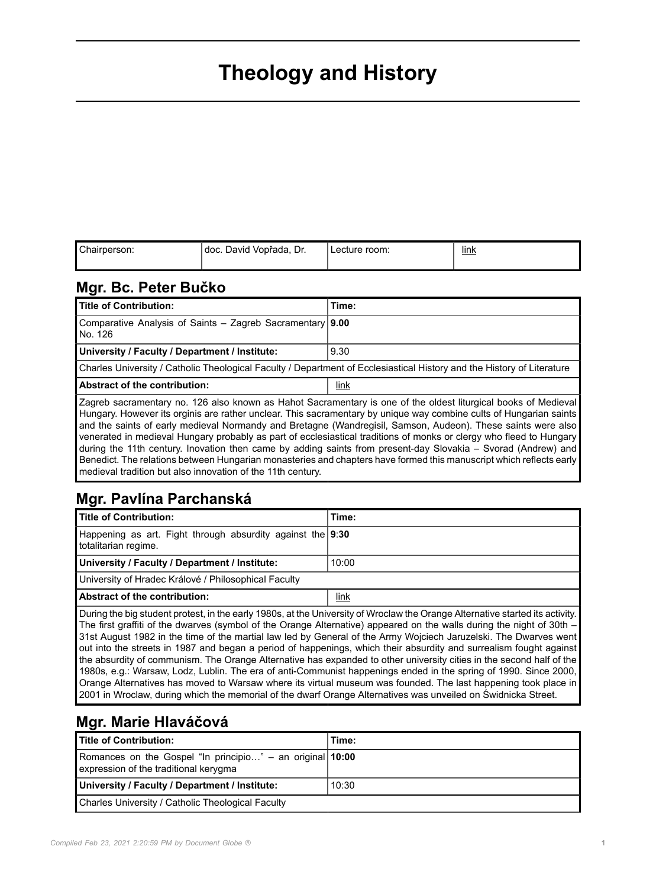# **Theology and History**

| Chairperson: | ⊺doc. David Vopřada, '<br>Dr. | Lecture room: | link |
|--------------|-------------------------------|---------------|------|
|              |                               |               |      |

#### **Mgr. Bc. Peter Bučko**

| Title of Contribution:                                                                                                 | Time: |
|------------------------------------------------------------------------------------------------------------------------|-------|
| Comparative Analysis of Saints – Zagreb Sacramentary   9.00<br>No. 126                                                 |       |
| University / Faculty / Department / Institute:                                                                         | 9.30  |
| Charles University / Catholic Theological Faculty / Department of Ecclesiastical History and the History of Literature |       |
| <b>Abstract of the contribution:</b>                                                                                   | link  |
| Zagreb sacramentary no. 126 also known as Hahot Sacramentary is one of the oldest liturgical books of Medieval         |       |

Hungary. However its orginis are rather unclear. This sacramentary by unique way combine cults of Hungarian saints and the saints of early medieval Normandy and Bretagne (Wandregisil, Samson, Audeon). These saints were also venerated in medieval Hungary probably as part of ecclesiastical traditions of monks or clergy who fleed to Hungary during the 11th century. Inovation then came by adding saints from present-day Slovakia – Svorad (Andrew) and Benedict. The relations between Hungarian monasteries and chapters have formed this manuscript which reflects early medieval tradition but also innovation of the 11th century.

## **Mgr. Pavlína Parchanská**

| Title of Contribution:                                                                                                                                                                                                                                      | Time: |
|-------------------------------------------------------------------------------------------------------------------------------------------------------------------------------------------------------------------------------------------------------------|-------|
| Happening as art. Fight through absurdity against the 9:30<br>totalitarian regime.                                                                                                                                                                          |       |
| University / Faculty / Department / Institute:                                                                                                                                                                                                              | 10:00 |
| University of Hradec Králové / Philosophical Faculty                                                                                                                                                                                                        |       |
| <b>Abstract of the contribution:</b>                                                                                                                                                                                                                        | link  |
| During the big student protest, in the early 1980s, at the University of Wroclaw the Orange Alternative started its activity.<br>The first coeffit of the discovery (consist of the Oceanic Alternative) concerned an the scalle discuss the scient of OAL. |       |

The first graffiti of the dwarves (symbol of the Orange Alternative) appeared on the walls during the night of 30th – 31st August 1982 in the time of the martial law led by General of the Army Wojciech Jaruzelski. The Dwarves went out into the streets in 1987 and began a period of happenings, which their absurdity and surrealism fought against the absurdity of communism. The Orange Alternative has expanded to other university cities in the second half of the 1980s, e.g.: Warsaw, Lodz, Lublin. The era of anti-Communist happenings ended in the spring of 1990. Since 2000, Orange Alternatives has moved to Warsaw where its virtual museum was founded. The last happening took place in 2001 in Wroclaw, during which the memorial of the dwarf Orange Alternatives was unveiled on Świdnicka Street.

## **Mgr. Marie Hlaváčová**

| Title of Contribution:                                                                             | Time: |
|----------------------------------------------------------------------------------------------------|-------|
| Romances on the Gospel "In principio" - an original 10:00<br>expression of the traditional kerygma |       |
| University / Faculty / Department / Institute:                                                     | 10:30 |
| Charles University / Catholic Theological Faculty                                                  |       |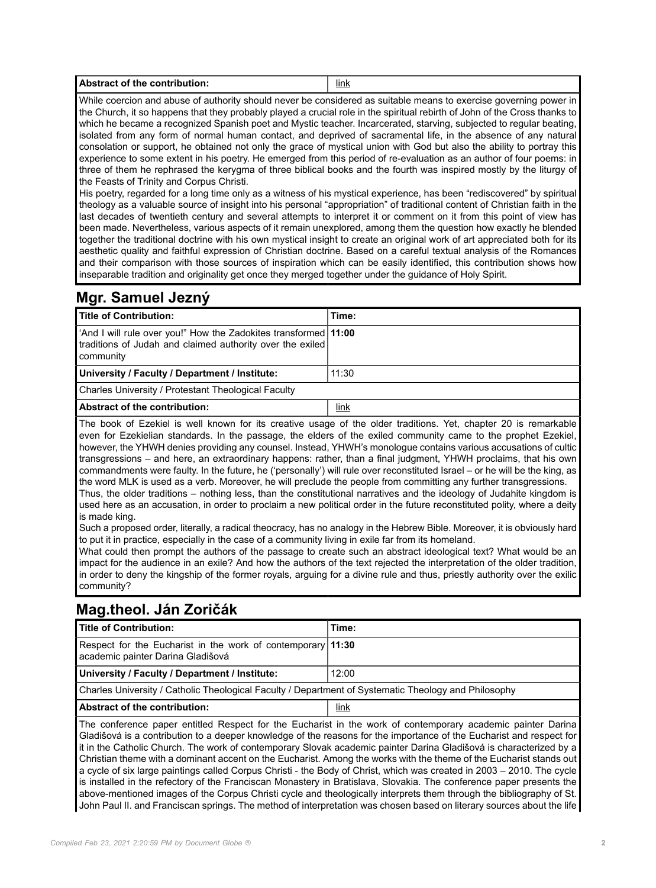| .<br><b>Abstract of the contribution:</b><br>link |
|---------------------------------------------------|
|---------------------------------------------------|

While coercion and abuse of authority should never be considered as suitable means to exercise governing power in the Church, it so happens that they probably played a crucial role in the spiritual rebirth of John of the Cross thanks to which he became a recognized Spanish poet and Mystic teacher. Incarcerated, starving, subjected to regular beating, isolated from any form of normal human contact, and deprived of sacramental life, in the absence of any natural consolation or support, he obtained not only the grace of mystical union with God but also the ability to portray this experience to some extent in his poetry. He emerged from this period of re-evaluation as an author of four poems: in three of them he rephrased the kerygma of three biblical books and the fourth was inspired mostly by the liturgy of the Feasts of Trinity and Corpus Christi.

His poetry, regarded for a long time only as a witness of his mystical experience, has been "rediscovered" by spiritual theology as a valuable source of insight into his personal "appropriation" of traditional content of Christian faith in the last decades of twentieth century and several attempts to interpret it or comment on it from this point of view has been made. Nevertheless, various aspects of it remain unexplored, among them the question how exactly he blended together the traditional doctrine with his own mystical insight to create an original work of art appreciated both for its aesthetic quality and faithful expression of Christian doctrine. Based on a careful textual analysis of the Romances and their comparison with those sources of inspiration which can be easily identified, this contribution shows how inseparable tradition and originality get once they merged together under the guidance of Holy Spirit.

#### **Mgr. Samuel Jezný**

| <b>Title of Contribution:</b>                                                                                                               | Time: |
|---------------------------------------------------------------------------------------------------------------------------------------------|-------|
| 'And I will rule over you!" How the Zadokites transformed   11:00<br>traditions of Judah and claimed authority over the exiled<br>community |       |
| University / Faculty / Department / Institute:                                                                                              | 11:30 |
| Charles University / Protestant Theological Faculty                                                                                         |       |
| <b>Abstract of the contribution:</b>                                                                                                        | link  |

The book of Ezekiel is well known for its creative usage of the older traditions. Yet, chapter 20 is remarkable even for Ezekielian standards. In the passage, the elders of the exiled community came to the prophet Ezekiel, however, the YHWH denies providing any counsel. Instead, YHWH's monologue contains various accusations of cultic transgressions – and here, an extraordinary happens: rather, than a final judgment, YHWH proclaims, that his own commandments were faulty. In the future, he ('personally') will rule over reconstituted Israel – or he will be the king, as the word MLK is used as a verb. Moreover, he will preclude the people from committing any further transgressions. Thus, the older traditions – nothing less, than the constitutional narratives and the ideology of Judahite kingdom is

used here as an accusation, in order to proclaim a new political order in the future reconstituted polity, where a deity is made king.

Such a proposed order, literally, a radical theocracy, has no analogy in the Hebrew Bible. Moreover, it is obviously hard to put it in practice, especially in the case of a community living in exile far from its homeland.

What could then prompt the authors of the passage to create such an abstract ideological text? What would be an impact for the audience in an exile? And how the authors of the text rejected the interpretation of the older tradition, in order to deny the kingship of the former royals, arguing for a divine rule and thus, priestly authority over the exilic community?

## **Mag.theol. Ján Zoričák**

| <b>Title of Contribution:</b>                                                                               | Time: |
|-------------------------------------------------------------------------------------------------------------|-------|
| Respect for the Eucharist in the work of contemporary 11:30<br>academic painter Darina Gladišová            |       |
| University / Faculty / Department / Institute:                                                              | 12:00 |
| Charles University / Catholic Theological Faculty / Department of Systematic Theology and Philosophy        |       |
| <b>Abstract of the contribution:</b>                                                                        | link  |
| The conference paper entitled Respect for the Eucharist in the work of contemporary academic painter Darina |       |

Gladišová is a contribution to a deeper knowledge of the reasons for the importance of the Eucharist and respect for it in the Catholic Church. The work of contemporary Slovak academic painter Darina Gladišová is characterized by a Christian theme with a dominant accent on the Eucharist. Among the works with the theme of the Eucharist stands out a cycle of six large paintings called Corpus Christi - the Body of Christ, which was created in 2003 – 2010. The cycle is installed in the refectory of the Franciscan Monastery in Bratislava, Slovakia. The conference paper presents the above-mentioned images of the Corpus Christi cycle and theologically interprets them through the bibliography of St. John Paul II. and Franciscan springs. The method of interpretation was chosen based on literary sources about the life